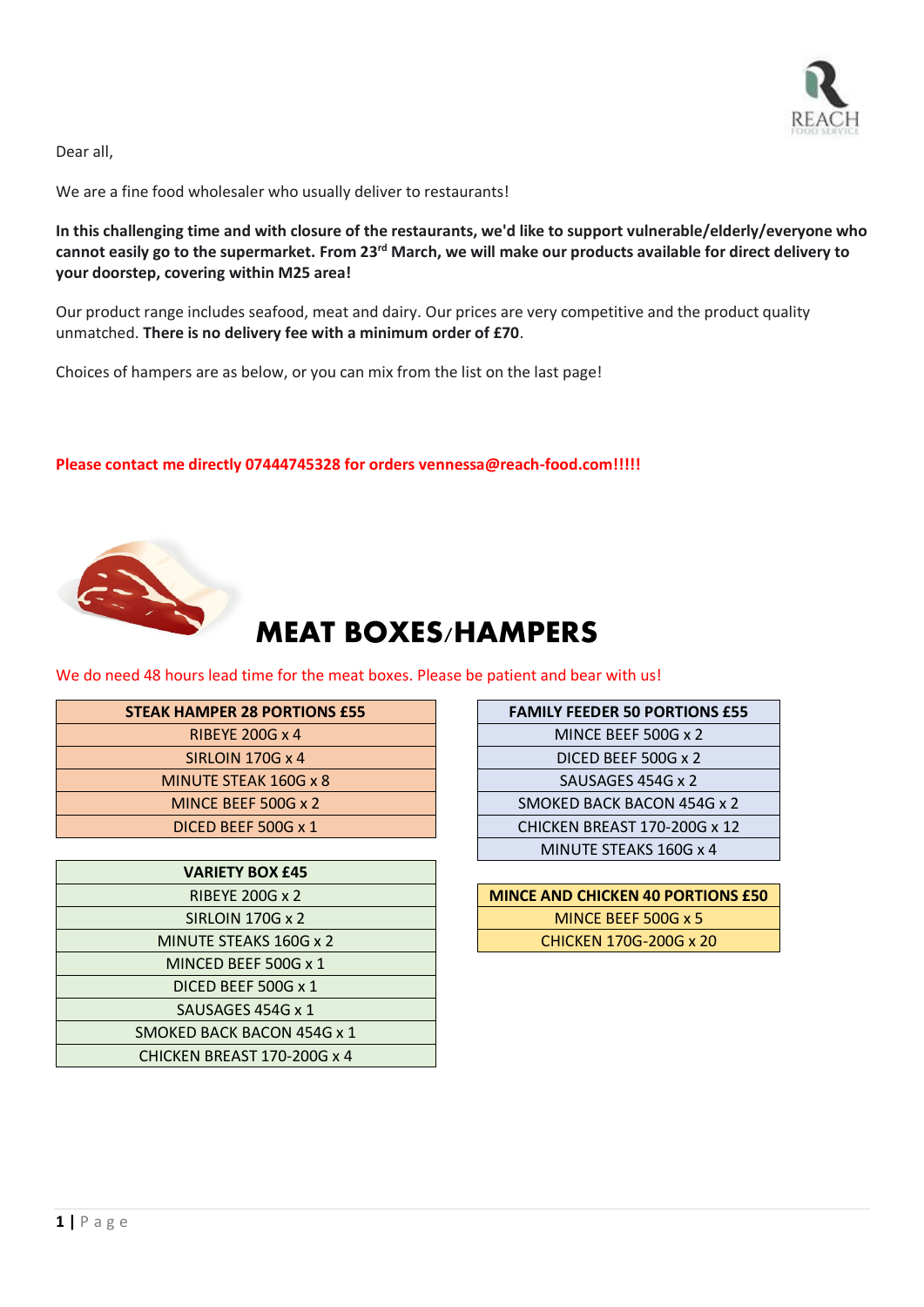

Dear all,

We are a fine food wholesaler who usually deliver to restaurants!

**In this challenging time and with closure of the restaurants, we'd like to support vulnerable/elderly/everyone who cannot easily go to the supermarket. From 23rd March, we will make our products available for direct delivery to your doorstep, covering within M25 area!**

Our product range includes seafood, meat and dairy. Our prices are very competitive and the product quality unmatched. **There is no delivery fee with a minimum order of £70**.

Choices of hampers are as below, or you can mix from the list on the last page!

**Please contact me directly 07444745328 for orders vennessa@reach-food.com!!!!!**



# MEAT BOXES/HAMPERS

We do need 48 hours lead time for the meat boxes. Please be patient and bear with us!

| <b>STEAK HAMPER 28 PORTIONS £55</b> | <b>FAMILY FEEDER 50 PORTIONS £55</b> |
|-------------------------------------|--------------------------------------|
| <b>RIBEYE 200G x 4</b>              | MINCE BEEF 500G x 2                  |
| SIRLOIN 170G $\times$ 4             | DICED BEEF 500G x 2                  |
| MINUTE STEAK 160G x 8               | SAUSAGES 454G x 2                    |
| MINCE BEEF 500G x 2                 | SMOKED BACK BACON 454G x 2           |
| DICED BEEF 500G x 1                 | CHICKEN BREAST 170-200G x 12         |
|                                     |                                      |

| <b>VARIETY BOX £45</b>      |                                    |
|-----------------------------|------------------------------------|
| <b>RIBEYE 200G x 2</b>      | <b>MINCE AND CHICKEN 40 PORTIC</b> |
| SIRLOIN 170G x 2            | MINCE BEEF 500G x 5                |
| MINUTE STEAKS 160G x 2      | CHICKEN 170G-200G x 20             |
| MINCED BEEF 500G x 1        |                                    |
| DICED BEEF 500G x 1         |                                    |
| SAUSAGES 454G x 1           |                                    |
| SMOKED BACK BACON 454G x 1  |                                    |
| CHICKEN BREAST 170-200G x 4 |                                    |

| <b>HAMPER 28 PORTIONS £55</b> | <b>FAMILY FEEDER 50 PORTIONS £55</b> |
|-------------------------------|--------------------------------------|
| <b>RIBEYE 200G x 4</b>        | MINCE BEEF 500G x 2                  |
| <b>SIRLOIN 170G x 4</b>       | DICED BEEF 500G x 2                  |
| <b>IINUTE STEAK 160G x 8</b>  | SAUSAGES 454G x 2                    |
| MINCE BEEF 500G x 2           | SMOKED BACK BACON 454G x 2           |
| DICED BEEF 500G x 1           | CHICKEN BREAST 170-200G x 12         |
|                               | MINUTE STEAKS 160G x 4               |
| VADIETV DAV CAP               |                                      |

| RIBEYE 200G x 2     | <b>MINCE AND CHICKEN 40 PORTIONS £50</b> |
|---------------------|------------------------------------------|
| SIRLOIN 170G x 2    | MINCE BEEF 500G $\times$ 5               |
| UTE STEAKS 160G x 2 | CHICKEN 170G-200G x 20                   |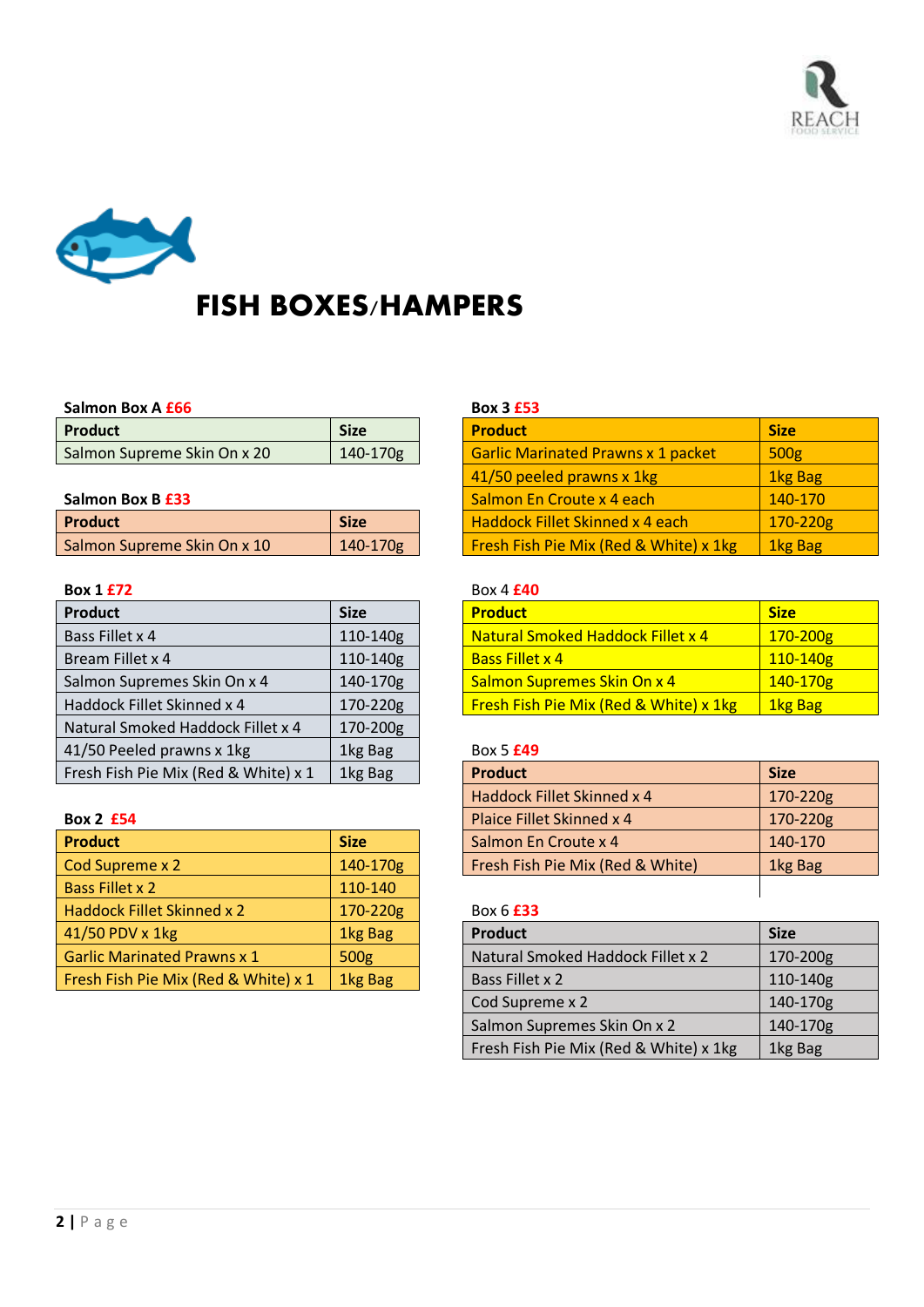



# FISH BOXES/HAMPERS

### **Salmon Box A £66 Box 3 £53**

| <b>Product</b>              | <b>Size</b> | <b>Product</b>                     | <b>Size</b> |
|-----------------------------|-------------|------------------------------------|-------------|
| Salmon Supreme Skin On x 20 | 140-170g    | Garlic Marinated Prawns x 1 packet | 500g        |

## **Salmon Box B £33**

| <b>Product</b>                     | <b>Size</b>  | l Haddock Fillet Skinned x 4 each                 | 170-220        |
|------------------------------------|--------------|---------------------------------------------------|----------------|
| <b>Salmon Supreme Skin On x 10</b> | $140 - 170g$ | <b>Fresh Fish Pie Mix (Red &amp; White) x 1kg</b> | <b>1kg Bag</b> |

| Product                              | <b>Size</b> | <b>Product</b>                         | <b>Size</b>    |
|--------------------------------------|-------------|----------------------------------------|----------------|
| Bass Fillet x 4                      | 110-140g    | Natural Smoked Haddock Fillet x 4      | 170-200        |
| Bream Fillet x 4                     | 110-140g    | <b>Bass Fillet x 4</b>                 | 110-140        |
| Salmon Supremes Skin On x 4          | 140-170g    | Salmon Supremes Skin On x 4            | 140-170        |
| Haddock Fillet Skinned x 4           | 170-220g    | Fresh Fish Pie Mix (Red & White) x 1kg | <b>1kg Bag</b> |
| Natural Smoked Haddock Fillet x 4    | 170-200g    |                                        |                |
| 41/50 Peeled prawns x 1kg            | 1kg Bag     | Box 5 £49                              |                |
| Fresh Fish Pie Mix (Red & White) x 1 | 1kg Bag     | <b>Product</b>                         | <b>Size</b>    |

| <b>Product</b>                       | <b>Size</b> | Salmon En Croute x 4              | 140-170     |
|--------------------------------------|-------------|-----------------------------------|-------------|
| Cod Supreme x 2                      | 140-170g    | Fresh Fish Pie Mix (Red & White)  | 1kg Bag     |
| <b>Bass Fillet x 2</b>               | 110-140     |                                   |             |
| Haddock Fillet Skinned x 2           | 170-220g    | Box 6 <b>£33</b>                  |             |
| 41/50 PDV x 1kg                      | 1kg Bag     | Product                           | <b>Size</b> |
| <b>Garlic Marinated Prawns x 1</b>   | 500g        | Natural Smoked Haddock Fillet x 2 | 170-200     |
| Fresh Fish Pie Mix (Red & White) x 1 | 1kg Bag     | Bass Fillet x 2                   | 110-140     |

| <b>Product</b>              | <b>Size</b> |                           | <b>Product</b>                            | <b>Size</b> |
|-----------------------------|-------------|---------------------------|-------------------------------------------|-------------|
| Salmon Supreme Skin On x 20 | 140-170g    |                           | <b>Garlic Marinated Prawns x 1 packet</b> | 500g        |
|                             |             | 41/50 peeled prawns x 1kg | 1kg Bag                                   |             |
| Salmon Box B £33            |             |                           | Salmon En Croute x 4 each                 | 140-170     |
| <b>Product</b>              | <b>Size</b> |                           | <b>Haddock Fillet Skinned x 4 each</b>    | 170-220g    |
| Salmon Supreme Skin On x 10 | 140-170g    |                           | Fresh Fish Pie Mix (Red & White) x 1kg    | 1kg Bag     |

# **Box 1 £72** Box 4 **£40**

| <b>Product</b>              | <b>Size</b> | <b>Product</b>                           | <b>Size</b>    |
|-----------------------------|-------------|------------------------------------------|----------------|
| Bass Fillet x 4             | 110-140g    | <b>Natural Smoked Haddock Fillet x 4</b> | $170 - 200g$   |
| Bream Fillet x 4            | 110-140g    | <b>Bass Fillet x 4</b>                   | $110 - 140g$   |
| Salmon Supremes Skin On x 4 | 140-170g    | Salmon Supremes Skin On x 4              | $140 - 170g$   |
| Haddock Fillet Skinned x 4  | 170-220g    | Fresh Fish Pie Mix (Red & White) x 1kg   | <b>1kg Bag</b> |

### 41/50 Peeled prawns x 1kg 1kg Bag Box 5 **£49**

| Fresh Fish Pie Mix (Red & White) x 1 | 1kg Bag     | <b>Product</b>                   | <b>Size</b>  |
|--------------------------------------|-------------|----------------------------------|--------------|
|                                      |             | Haddock Fillet Skinned x 4       | $170 - 220g$ |
| <b>Box 2 £54</b>                     |             | Plaice Fillet Skinned x 4        | 170-220g     |
| <b>Product</b>                       | <b>Size</b> | Salmon En Croute x 4             | 140-170      |
| Cod Supreme x 2                      | 140-170g    | Fresh Fish Pie Mix (Red & White) | 1kg Bag      |
| Bass Fillet x 2                      | 110-140     |                                  |              |

# Box 6 **£33**

| 41/50 PDV x 1kg                      | 1kg Bag | <b>Product</b>                         | <b>Size</b> |
|--------------------------------------|---------|----------------------------------------|-------------|
| <b>Garlic Marinated Prawns x 1</b>   | 500g    | Natural Smoked Haddock Fillet x 2      | 170-200g    |
| Fresh Fish Pie Mix (Red & White) x 1 | 1kg Bag | Bass Fillet x 2                        | 110-140g    |
|                                      |         | Cod Supreme x 2                        | 140-170g    |
|                                      |         | Salmon Supremes Skin On x 2            | 140-170g    |
|                                      |         | Fresh Fish Pie Mix (Red & White) x 1kg | 1kg Bag     |